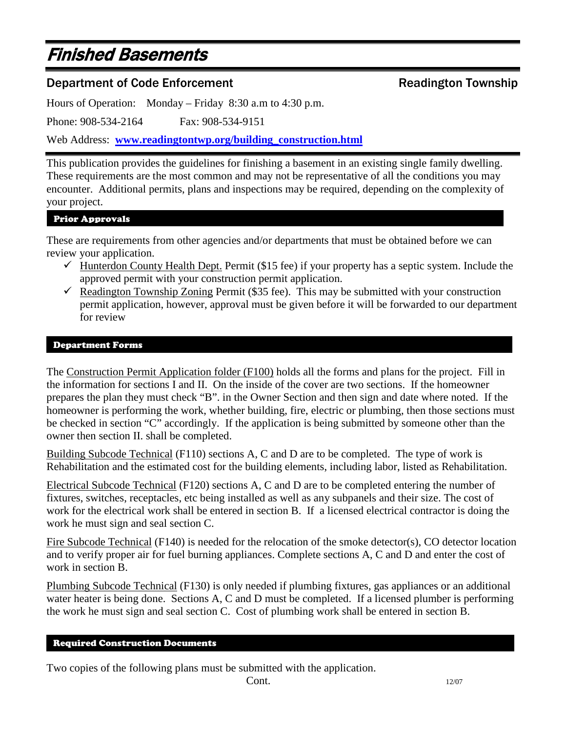# Finished Basements

# Department of Code Enforcement **Engineerial Community** Readington Township

Hours of Operation: Monday – Friday 8:30 a.m to 4:30 p.m.

Phone: 908-534-2164 Fax: 908-534-9151

Web Address: **[www.readingtontwp.org/building\\_construction.html](http://www.readingtontwp.org/building_construction.html)**

This publication provides the guidelines for finishing a basement in an existing single family dwelling. These requirements are the most common and may not be representative of all the conditions you may encounter. Additional permits, plans and inspections may be required, depending on the complexity of your project.

# Prior Approvals

These are requirements from other agencies and/or departments that must be obtained before we can review your application.

- $\checkmark$  Hunterdon County Health Dept. Permit (\$15 fee) if your property has a septic system. Include the approved permit with your construction permit application.
- Readington Township Zoning Permit (\$35 fee). This may be submitted with your construction permit application, however, approval must be given before it will be forwarded to our department for review

#### Department Forms

The Construction Permit Application folder (F100) holds all the forms and plans for the project. Fill in the information for sections I and II. On the inside of the cover are two sections. If the homeowner prepares the plan they must check "B". in the Owner Section and then sign and date where noted. If the homeowner is performing the work, whether building, fire, electric or plumbing, then those sections must be checked in section "C" accordingly. If the application is being submitted by someone other than the owner then section II. shall be completed.

Building Subcode Technical (F110) sections A, C and D are to be completed. The type of work is Rehabilitation and the estimated cost for the building elements, including labor, listed as Rehabilitation.

Electrical Subcode Technical (F120) sections A, C and D are to be completed entering the number of fixtures, switches, receptacles, etc being installed as well as any subpanels and their size. The cost of work for the electrical work shall be entered in section B. If a licensed electrical contractor is doing the work he must sign and seal section C.

Fire Subcode Technical (F140) is needed for the relocation of the smoke detector(s), CO detector location and to verify proper air for fuel burning appliances. Complete sections A, C and D and enter the cost of work in section B.

Plumbing Subcode Technical (F130) is only needed if plumbing fixtures, gas appliances or an additional water heater is being done. Sections A, C and D must be completed. If a licensed plumber is performing the work he must sign and seal section C. Cost of plumbing work shall be entered in section B.

# Required Construction Documents

Two copies of the following plans must be submitted with the application.